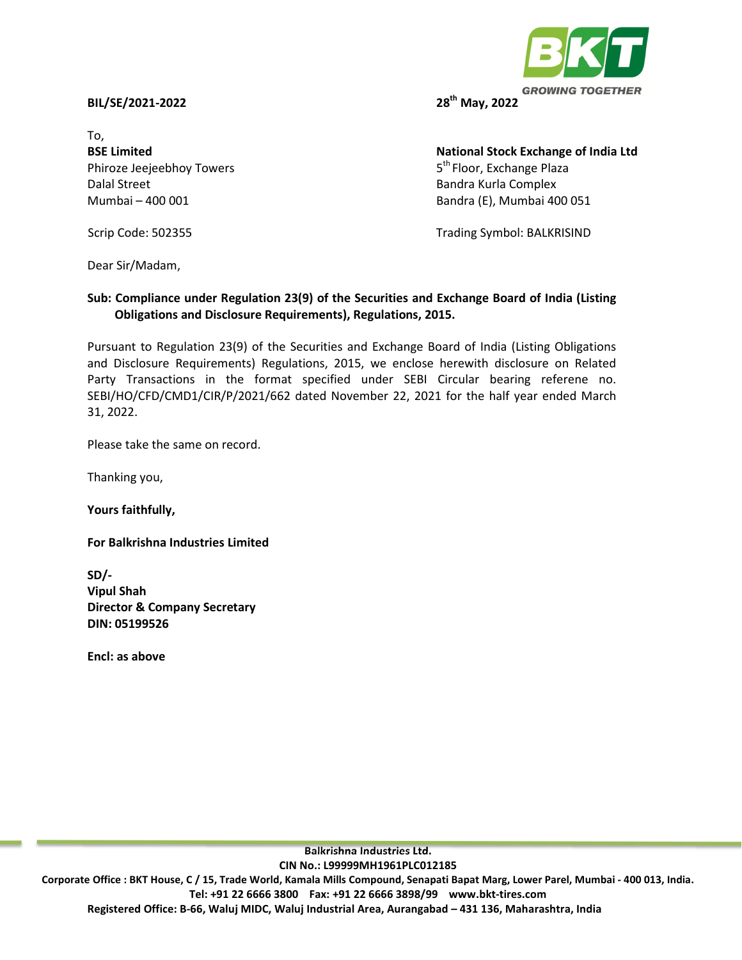## **BIL/SE/2021-2022 28th May, 2022**

To, Phiroze Jeejeebhoy Towers 6th Floor, Exchange Plaza Dalal Street **Bandra Kurla Complex Bandra Kurla Complex** 

**BSE Limited Contract Contract Contract Contract Contract Contract Contract Contract Contract Contract Contract Contract Contract Contract Contract Contract Contract Contract Contract Contract Contract Contract Contract Co** Mumbai – 400 001 Bandra (E), Mumbai 400 051

Scrip Code: 502355 Trading Symbol: BALKRISIND

Dear Sir/Madam,

## **Sub: Compliance under Regulation 23(9) of the Securities and Exchange Board of India (Listing Obligations and Disclosure Requirements), Regulations, 2015.**

Pursuant to Regulation 23(9) of the Securities and Exchange Board of India (Listing Obligations and Disclosure Requirements) Regulations, 2015, we enclose herewith disclosure on Related Party Transactions in the format specified under SEBI Circular bearing referene no. SEBI/HO/CFD/CMD1/CIR/P/2021/662 dated November 22, 2021 for the half year ended March 31, 2022.

Please take the same on record.

Thanking you,

**Yours faithfully,** 

**For Balkrishna Industries Limited** 

**SD/- Vipul Shah Director & Company Secretary DIN: 05199526** 

**Encl: as above**